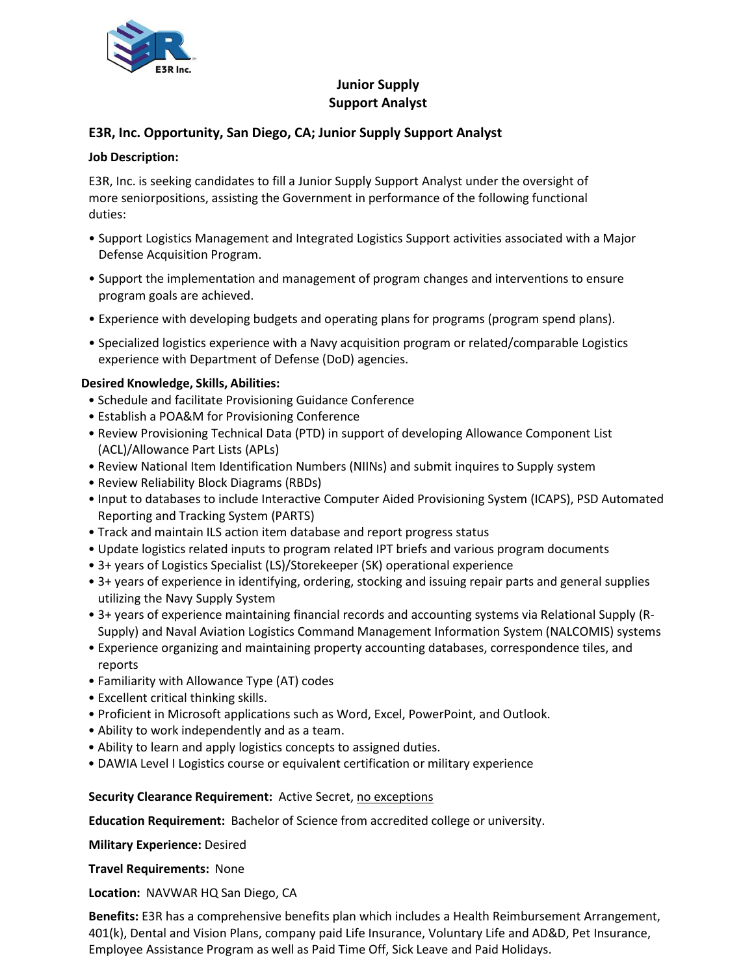

# **Junior Supply Support Analyst**

## **E3R, Inc. Opportunity, San Diego, CA; Junior Supply Support Analyst**

#### **Job Description:**

E3R, Inc. is seeking candidates to fill a Junior Supply Support Analyst under the oversight of more seniorpositions, assisting the Government in performance of the following functional duties:

- Support Logistics Management and Integrated Logistics Support activities associated with a Major Defense Acquisition Program.
- Support the implementation and management of program changes and interventions to ensure program goals are achieved.
- Experience with developing budgets and operating plans for programs (program spend plans).
- Specialized logistics experience with a Navy acquisition program or related/comparable Logistics experience with Department of Defense (DoD) agencies.

#### **Desired Knowledge, Skills, Abilities:**

- Schedule and facilitate Provisioning Guidance Conference
- Establish a POA&M for Provisioning Conference
- Review Provisioning Technical Data (PTD) in support of developing Allowance Component List (ACL)/Allowance Part Lists (APLs)
- Review National Item Identification Numbers (NIINs) and submit inquires to Supply system
- Review Reliability Block Diagrams (RBDs)
- Input to databases to include Interactive Computer Aided Provisioning System (ICAPS), PSD Automated Reporting and Tracking System (PARTS)
- Track and maintain ILS action item database and report progress status
- Update logistics related inputs to program related IPT briefs and various program documents
- 3+ years of Logistics Specialist (LS)/Storekeeper (SK) operational experience
- 3+ years of experience in identifying, ordering, stocking and issuing repair parts and general supplies utilizing the Navy Supply System
- 3+ years of experience maintaining financial records and accounting systems via Relational Supply (R-Supply) and Naval Aviation Logistics Command Management Information System (NALCOMIS) systems
- Experience organizing and maintaining property accounting databases, correspondence tiles, and reports
- Familiarity with Allowance Type (AT) codes
- Excellent critical thinking skills.
- Proficient in Microsoft applications such as Word, Excel, PowerPoint, and Outlook.
- Ability to work independently and as a team.
- Ability to learn and apply logistics concepts to assigned duties.
- DAWIA Level I Logistics course or equivalent certification or military experience

**Security Clearance Requirement:** Active Secret, no exceptions

**Education Requirement:** Bachelor of Science from accredited college or university.

**Military Experience:** Desired

**Travel Requirements:** None

**Location:** NAVWAR HQ San Diego, CA

**Benefits:** E3R has a comprehensive benefits plan which includes a Health Reimbursement Arrangement, 401(k), Dental and Vision Plans, company paid Life Insurance, Voluntary Life and AD&D, Pet Insurance, Employee Assistance Program as well as Paid Time Off, Sick Leave and Paid Holidays.